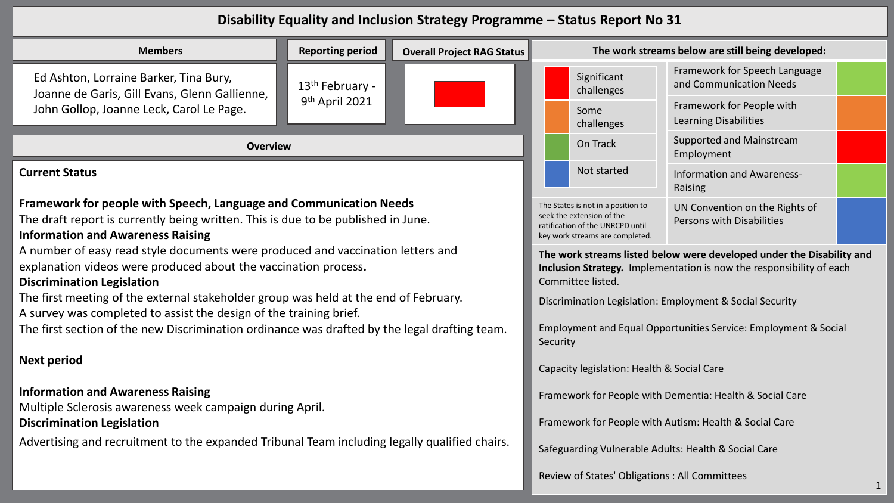## **Disability Equality and Inclusion Strategy Programme – Status Report No 31**

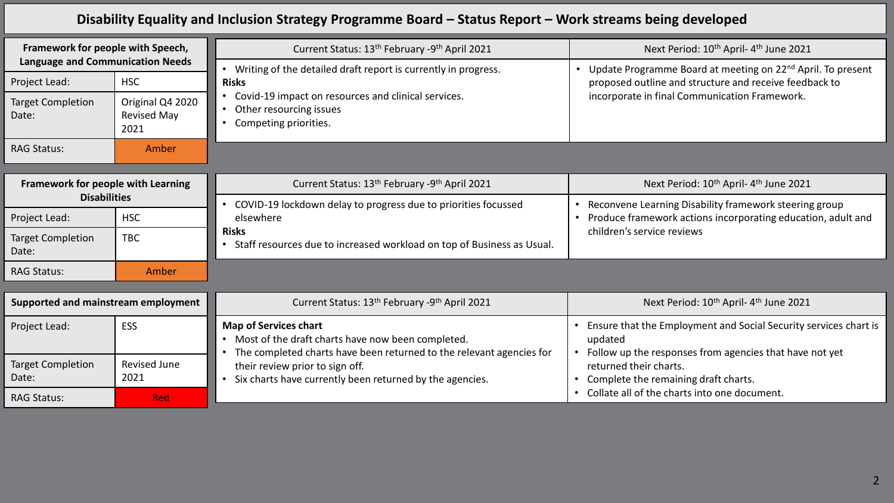## **Disability Equality and Inclusion Strategy Programme Board – Status Report – Work streams being developed**

| Framework for people with Speech,                                                             |                                                       | Current Status: 13 <sup>th</sup> February -9 <sup>th</sup> April 2021                                                                                                                        | Next Period: 10 <sup>th</sup> April-4 <sup>th</sup> June 2021                                                                                                                      |
|-----------------------------------------------------------------------------------------------|-------------------------------------------------------|----------------------------------------------------------------------------------------------------------------------------------------------------------------------------------------------|------------------------------------------------------------------------------------------------------------------------------------------------------------------------------------|
| <b>Language and Communication Needs</b><br>Project Lead:<br><b>Target Completion</b><br>Date: | <b>HSC</b><br>Original Q4 2020<br>Revised May<br>2021 | Writing of the detailed draft report is currently in progress.<br><b>Risks</b><br>Covid-19 impact on resources and clinical services.<br>Other resourcing issues<br>Competing priorities.    | Update Programme Board at meeting on 22 <sup>nd</sup> April. To present<br>proposed outline and structure and receive feedback to<br>incorporate in final Communication Framework. |
| <b>RAG Status:</b>                                                                            | Amber                                                 |                                                                                                                                                                                              |                                                                                                                                                                                    |
|                                                                                               |                                                       |                                                                                                                                                                                              |                                                                                                                                                                                    |
| Framework for people with Learning                                                            |                                                       | Current Status: 13 <sup>th</sup> February -9 <sup>th</sup> April 2021                                                                                                                        | Next Period: 10 <sup>th</sup> April-4 <sup>th</sup> June 2021                                                                                                                      |
| <b>Disabilities</b>                                                                           |                                                       | COVID-19 lockdown delay to progress due to priorities focussed                                                                                                                               | Reconvene Learning Disability framework steering group                                                                                                                             |
| Project Lead:                                                                                 | <b>HSC</b>                                            | elsewhere<br><b>Risks</b><br>Staff resources due to increased workload on top of Business as Usual.                                                                                          | Produce framework actions incorporating education, adult and<br>children's service reviews                                                                                         |
| <b>Target Completion</b><br>Date:                                                             | <b>TBC</b>                                            |                                                                                                                                                                                              |                                                                                                                                                                                    |
| <b>RAG Status:</b>                                                                            | Amber                                                 |                                                                                                                                                                                              |                                                                                                                                                                                    |
|                                                                                               |                                                       |                                                                                                                                                                                              |                                                                                                                                                                                    |
| Supported and mainstream employment                                                           |                                                       | Current Status: 13 <sup>th</sup> February -9 <sup>th</sup> April 2021                                                                                                                        | Next Period: 10 <sup>th</sup> April-4 <sup>th</sup> June 2021                                                                                                                      |
| Project Lead:                                                                                 | ESS                                                   | <b>Map of Services chart</b><br>Most of the draft charts have now been completed.<br>The completed charts have been returned to the relevant agencies for<br>their review prior to sign off. | Ensure that the Employment and Social Security services chart is<br>updated<br>Follow up the responses from agencies that have not yet<br>returned their charts.                   |
| <b>Target Completion</b>                                                                      | <b>Revised June</b>                                   |                                                                                                                                                                                              |                                                                                                                                                                                    |
| Date:                                                                                         | 2021                                                  | Six charts have currently been returned by the agencies.<br>$\bullet$                                                                                                                        | Complete the remaining draft charts.                                                                                                                                               |
| <b>RAG Status:</b>                                                                            | <b>Red</b>                                            |                                                                                                                                                                                              | Collate all of the charts into one document.                                                                                                                                       |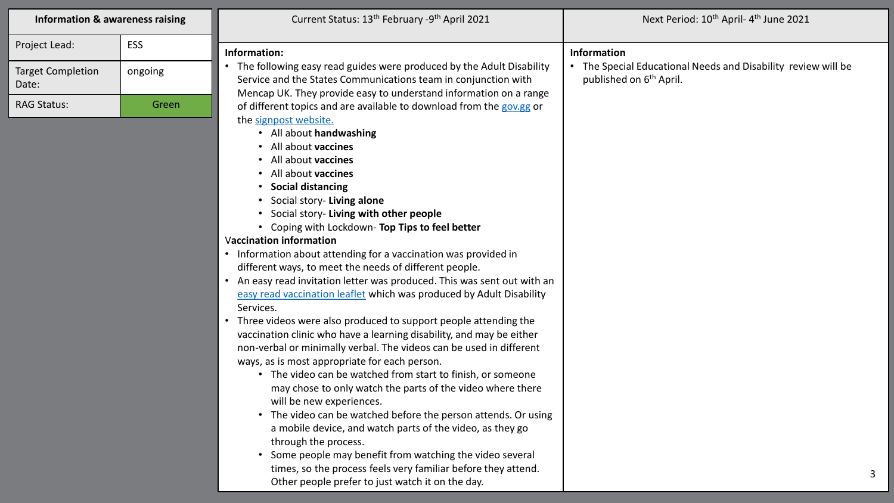| <b>Information &amp; awareness raising</b> |            | Current Status: 13 <sup>th</sup> February -9 <sup>th</sup> April 2021                                                                                                                                                                                                                                                                                                                                                                                                                                                                                                                                                                                                                                                                                                                                                                                                                                                                                                                                                                                                                                                                                                                                                                                                                                                                                                                                        | Next Period: 10 <sup>th</sup> April-4 <sup>th</sup> June 2021                                        |
|--------------------------------------------|------------|--------------------------------------------------------------------------------------------------------------------------------------------------------------------------------------------------------------------------------------------------------------------------------------------------------------------------------------------------------------------------------------------------------------------------------------------------------------------------------------------------------------------------------------------------------------------------------------------------------------------------------------------------------------------------------------------------------------------------------------------------------------------------------------------------------------------------------------------------------------------------------------------------------------------------------------------------------------------------------------------------------------------------------------------------------------------------------------------------------------------------------------------------------------------------------------------------------------------------------------------------------------------------------------------------------------------------------------------------------------------------------------------------------------|------------------------------------------------------------------------------------------------------|
| Project Lead:                              | <b>ESS</b> | Information:                                                                                                                                                                                                                                                                                                                                                                                                                                                                                                                                                                                                                                                                                                                                                                                                                                                                                                                                                                                                                                                                                                                                                                                                                                                                                                                                                                                                 |                                                                                                      |
| <b>Target Completion</b><br>Date:          | ongoing    | The following easy read guides were produced by the Adult Disability<br>Service and the States Communications team in conjunction with                                                                                                                                                                                                                                                                                                                                                                                                                                                                                                                                                                                                                                                                                                                                                                                                                                                                                                                                                                                                                                                                                                                                                                                                                                                                       | • The Special Educational Needs and Disability review will be<br>published on 6 <sup>th</sup> April. |
| <b>RAG Status:</b>                         | Green      | Mencap UK. They provide easy to understand information on a range<br>of different topics and are available to download from the gov.gg or<br>the signpost website.<br>• All about handwashing<br>• All about vaccines<br>• All about vaccines<br>• All about vaccines<br><b>Social distancing</b><br>Social story- Living alone<br>Social story- Living with other people<br>• Coping with Lockdown- Top Tips to feel better<br><b>Vaccination information</b><br>• Information about attending for a vaccination was provided in<br>different ways, to meet the needs of different people.<br>• An easy read invitation letter was produced. This was sent out with an<br>easy read vaccination leaflet which was produced by Adult Disability<br>Services.<br>• Three videos were also produced to support people attending the<br>vaccination clinic who have a learning disability, and may be either<br>non-verbal or minimally verbal. The videos can be used in different<br>ways, as is most appropriate for each person.<br>• The video can be watched from start to finish, or someone<br>may chose to only watch the parts of the video where there<br>will be new experiences.<br>• The video can be watched before the person attends. Or using<br>a mobile device, and watch parts of the video, as they go<br>through the process.<br>Some people may benefit from watching the video several | Information                                                                                          |

3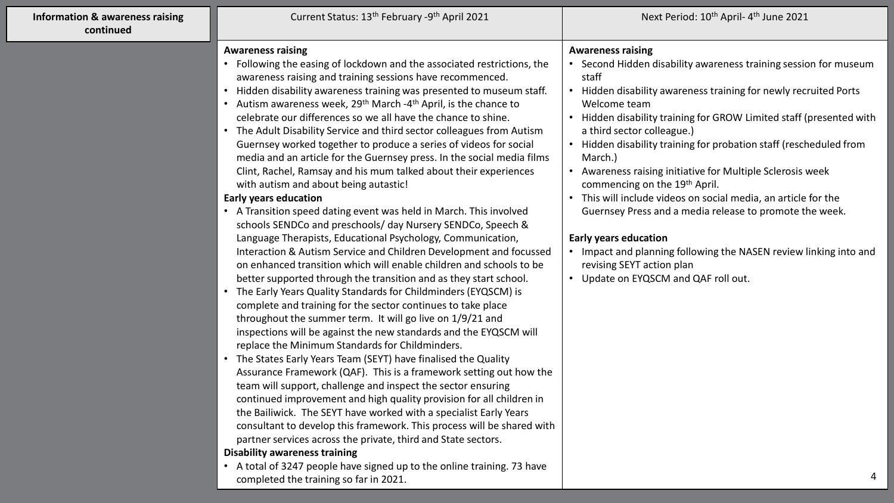| <b>Information &amp; awareness raising</b><br>continued | Current Status: 13 <sup>th</sup> February -9 <sup>th</sup> April 2021                                                                                                                                                                                                                                                                                                                                                                                                                                                                                                                                                                                                                                                                                                                                                                                                                                                                                                                                                                                                                                                                                                                                                                                                                                                                                                                                                                                                                                                                                                                                                                                                                                                                                                                                                                                                                                                                                                                                                                                                                                                                       | Next Period: 10 <sup>th</sup> April-4 <sup>th</sup> June 2021                                                                                                                                                                                                                                                                                                                                                                                                                                                                                                                                                                                                                                                                                                                                    |
|---------------------------------------------------------|---------------------------------------------------------------------------------------------------------------------------------------------------------------------------------------------------------------------------------------------------------------------------------------------------------------------------------------------------------------------------------------------------------------------------------------------------------------------------------------------------------------------------------------------------------------------------------------------------------------------------------------------------------------------------------------------------------------------------------------------------------------------------------------------------------------------------------------------------------------------------------------------------------------------------------------------------------------------------------------------------------------------------------------------------------------------------------------------------------------------------------------------------------------------------------------------------------------------------------------------------------------------------------------------------------------------------------------------------------------------------------------------------------------------------------------------------------------------------------------------------------------------------------------------------------------------------------------------------------------------------------------------------------------------------------------------------------------------------------------------------------------------------------------------------------------------------------------------------------------------------------------------------------------------------------------------------------------------------------------------------------------------------------------------------------------------------------------------------------------------------------------------|--------------------------------------------------------------------------------------------------------------------------------------------------------------------------------------------------------------------------------------------------------------------------------------------------------------------------------------------------------------------------------------------------------------------------------------------------------------------------------------------------------------------------------------------------------------------------------------------------------------------------------------------------------------------------------------------------------------------------------------------------------------------------------------------------|
|                                                         | <b>Awareness raising</b><br>• Following the easing of lockdown and the associated restrictions, the<br>awareness raising and training sessions have recommenced.<br>• Hidden disability awareness training was presented to museum staff.<br>• Autism awareness week, 29 <sup>th</sup> March -4 <sup>th</sup> April, is the chance to<br>celebrate our differences so we all have the chance to shine.<br>• The Adult Disability Service and third sector colleagues from Autism<br>Guernsey worked together to produce a series of videos for social<br>media and an article for the Guernsey press. In the social media films<br>Clint, Rachel, Ramsay and his mum talked about their experiences<br>with autism and about being autastic!<br><b>Early years education</b><br>• A Transition speed dating event was held in March. This involved<br>schools SENDCo and preschools/ day Nursery SENDCo, Speech &<br>Language Therapists, Educational Psychology, Communication,<br>Interaction & Autism Service and Children Development and focussed<br>on enhanced transition which will enable children and schools to be<br>better supported through the transition and as they start school.<br>The Early Years Quality Standards for Childminders (EYQSCM) is<br>complete and training for the sector continues to take place<br>throughout the summer term. It will go live on 1/9/21 and<br>inspections will be against the new standards and the EYQSCM will<br>replace the Minimum Standards for Childminders.<br>The States Early Years Team (SEYT) have finalised the Quality<br>Assurance Framework (QAF). This is a framework setting out how the<br>team will support, challenge and inspect the sector ensuring<br>continued improvement and high quality provision for all children in<br>the Bailiwick. The SEYT have worked with a specialist Early Years<br>consultant to develop this framework. This process will be shared with<br>partner services across the private, third and State sectors.<br><b>Disability awareness training</b><br>• A total of 3247 people have signed up to the online training. 73 have | <b>Awareness raising</b><br>• Second Hidden disability awareness training session for museum<br>staff<br>Hidden disability awareness training for newly recruited Ports<br>$\bullet$<br>Welcome team<br>Hidden disability training for GROW Limited staff (presented with<br>a third sector colleague.)<br>Hidden disability training for probation staff (rescheduled from<br>March.)<br>Awareness raising initiative for Multiple Sclerosis week<br>commencing on the 19 <sup>th</sup> April.<br>This will include videos on social media, an article for the<br>Guernsey Press and a media release to promote the week.<br><b>Early years education</b><br>Impact and planning following the NASEN review linking into and<br>revising SEYT action plan<br>Update on EYQSCM and QAF roll out. |
|                                                         | completed the training so far in 2021.                                                                                                                                                                                                                                                                                                                                                                                                                                                                                                                                                                                                                                                                                                                                                                                                                                                                                                                                                                                                                                                                                                                                                                                                                                                                                                                                                                                                                                                                                                                                                                                                                                                                                                                                                                                                                                                                                                                                                                                                                                                                                                      | 4                                                                                                                                                                                                                                                                                                                                                                                                                                                                                                                                                                                                                                                                                                                                                                                                |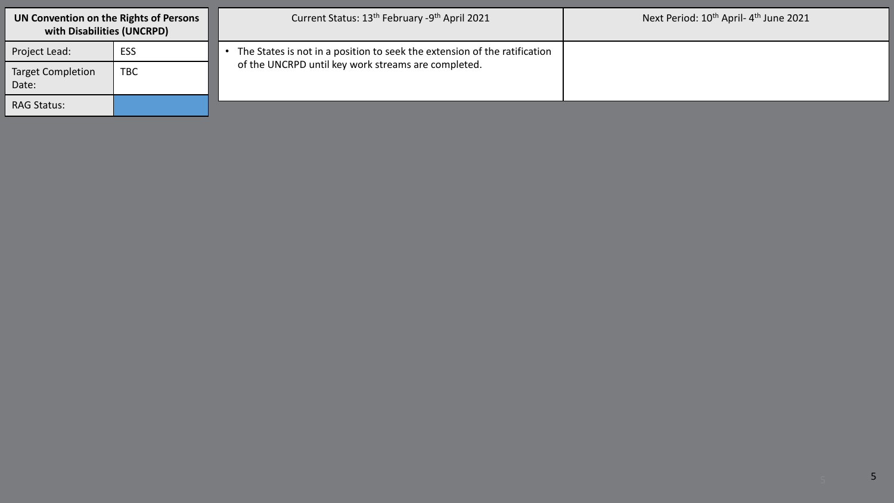| UN Convention on the Rights of Persons<br>with Disabilities (UNCRPD) |     | Current Status: 13 <sup>th</sup> February -9 <sup>th</sup> April 2021                                                            | Next Period: 10 <sup>th</sup> April-4 <sup>th</sup> June 2021 |
|----------------------------------------------------------------------|-----|----------------------------------------------------------------------------------------------------------------------------------|---------------------------------------------------------------|
| Project Lead:                                                        | ESS | The States is not in a position to seek the extension of the ratification<br>of the UNCRPD until key work streams are completed. |                                                               |
| <b>Target Completion</b><br>Date:                                    | TBC |                                                                                                                                  |                                                               |
| <b>RAG Status:</b>                                                   |     |                                                                                                                                  |                                                               |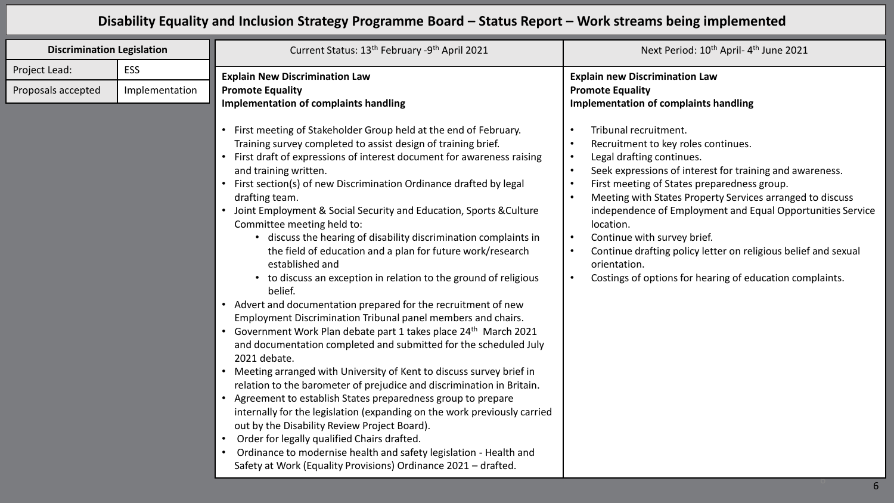## **Disability Equality and Inclusion Strategy Programme Board – Status Report – Work streams being implemented**

| <b>Discrimination Legislation</b> |                | Current Status: 13 <sup>th</sup> February -9 <sup>th</sup> April 2021                                                                                                                                                                                                                                                                                                                                                                                                                                                                                                                                                                                                                                                                                                                                                                                                                                                                                                                                                                                                                                                                                                                                                                                                                                                                                                                                                                                                                                  | Next Period: 10 <sup>th</sup> April-4 <sup>th</sup> June 2021                                                                                                                                                                                                                                                                                                                                                                                                                                                                                                                                                                                  |
|-----------------------------------|----------------|--------------------------------------------------------------------------------------------------------------------------------------------------------------------------------------------------------------------------------------------------------------------------------------------------------------------------------------------------------------------------------------------------------------------------------------------------------------------------------------------------------------------------------------------------------------------------------------------------------------------------------------------------------------------------------------------------------------------------------------------------------------------------------------------------------------------------------------------------------------------------------------------------------------------------------------------------------------------------------------------------------------------------------------------------------------------------------------------------------------------------------------------------------------------------------------------------------------------------------------------------------------------------------------------------------------------------------------------------------------------------------------------------------------------------------------------------------------------------------------------------------|------------------------------------------------------------------------------------------------------------------------------------------------------------------------------------------------------------------------------------------------------------------------------------------------------------------------------------------------------------------------------------------------------------------------------------------------------------------------------------------------------------------------------------------------------------------------------------------------------------------------------------------------|
| Project Lead:                     | <b>ESS</b>     | <b>Explain New Discrimination Law</b>                                                                                                                                                                                                                                                                                                                                                                                                                                                                                                                                                                                                                                                                                                                                                                                                                                                                                                                                                                                                                                                                                                                                                                                                                                                                                                                                                                                                                                                                  | <b>Explain new Discrimination Law</b>                                                                                                                                                                                                                                                                                                                                                                                                                                                                                                                                                                                                          |
| Proposals accepted                | Implementation | <b>Promote Equality</b><br><b>Implementation of complaints handling</b>                                                                                                                                                                                                                                                                                                                                                                                                                                                                                                                                                                                                                                                                                                                                                                                                                                                                                                                                                                                                                                                                                                                                                                                                                                                                                                                                                                                                                                | <b>Promote Equality</b><br>Implementation of complaints handling                                                                                                                                                                                                                                                                                                                                                                                                                                                                                                                                                                               |
|                                   |                | First meeting of Stakeholder Group held at the end of February.<br>Training survey completed to assist design of training brief.<br>First draft of expressions of interest document for awareness raising<br>and training written.<br>First section(s) of new Discrimination Ordinance drafted by legal<br>drafting team.<br>Joint Employment & Social Security and Education, Sports & Culture<br>Committee meeting held to:<br>• discuss the hearing of disability discrimination complaints in<br>the field of education and a plan for future work/research<br>established and<br>• to discuss an exception in relation to the ground of religious<br>belief.<br>• Advert and documentation prepared for the recruitment of new<br>Employment Discrimination Tribunal panel members and chairs.<br>Government Work Plan debate part 1 takes place 24 <sup>th</sup> March 2021<br>and documentation completed and submitted for the scheduled July<br>2021 debate.<br>Meeting arranged with University of Kent to discuss survey brief in<br>relation to the barometer of prejudice and discrimination in Britain.<br>Agreement to establish States preparedness group to prepare<br>internally for the legislation (expanding on the work previously carried<br>out by the Disability Review Project Board).<br>Order for legally qualified Chairs drafted.<br>Ordinance to modernise health and safety legislation - Health and<br>Safety at Work (Equality Provisions) Ordinance 2021 - drafted. | Tribunal recruitment.<br>$\bullet$<br>Recruitment to key roles continues.<br>$\bullet$<br>Legal drafting continues.<br>$\bullet$<br>Seek expressions of interest for training and awareness.<br>$\bullet$<br>First meeting of States preparedness group.<br>$\bullet$<br>Meeting with States Property Services arranged to discuss<br>$\bullet$<br>independence of Employment and Equal Opportunities Service<br>location.<br>Continue with survey brief.<br>$\bullet$<br>Continue drafting policy letter on religious belief and sexual<br>$\bullet$<br>orientation.<br>Costings of options for hearing of education complaints.<br>$\bullet$ |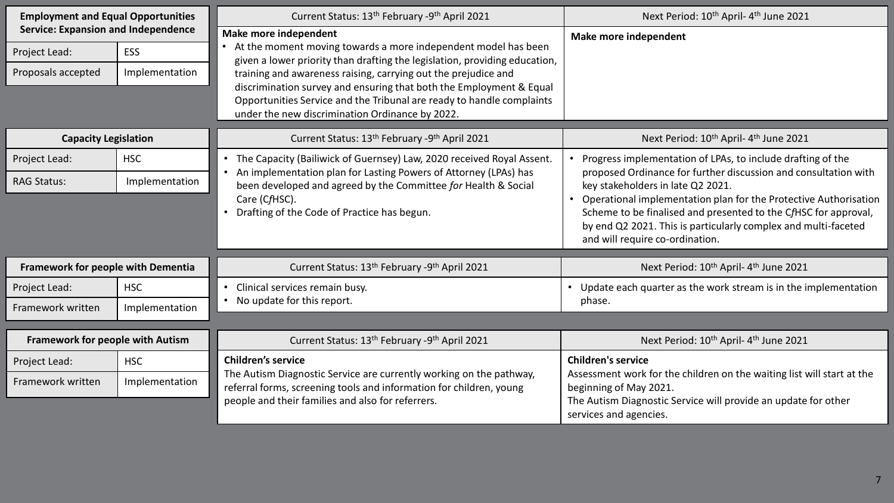| <b>Employment and Equal Opportunities</b><br><b>Service: Expansion and Independence</b> |                | Current Status: 13 <sup>th</sup> February -9 <sup>th</sup> April 2021                                                                                                                                                                 | Next Period: 10 <sup>th</sup> April-4 <sup>th</sup> June 2021                                                                                                                                                                            |
|-----------------------------------------------------------------------------------------|----------------|---------------------------------------------------------------------------------------------------------------------------------------------------------------------------------------------------------------------------------------|------------------------------------------------------------------------------------------------------------------------------------------------------------------------------------------------------------------------------------------|
|                                                                                         |                | <b>Make more independent</b>                                                                                                                                                                                                          | Make more independent                                                                                                                                                                                                                    |
| Project Lead:                                                                           | <b>ESS</b>     | At the moment moving towards a more independent model has been<br>given a lower priority than drafting the legislation, providing education,<br>training and awareness raising, carrying out the prejudice and                        |                                                                                                                                                                                                                                          |
| Proposals accepted                                                                      | Implementation |                                                                                                                                                                                                                                       |                                                                                                                                                                                                                                          |
|                                                                                         |                | discrimination survey and ensuring that both the Employment & Equal<br>Opportunities Service and the Tribunal are ready to handle complaints<br>under the new discrimination Ordinance by 2022.                                       |                                                                                                                                                                                                                                          |
| <b>Capacity Legislation</b>                                                             |                | Current Status: 13 <sup>th</sup> February -9 <sup>th</sup> April 2021                                                                                                                                                                 | Next Period: 10 <sup>th</sup> April-4 <sup>th</sup> June 2021                                                                                                                                                                            |
| Project Lead:                                                                           | <b>HSC</b>     | The Capacity (Bailiwick of Guernsey) Law, 2020 received Royal Assent.<br>$\bullet$<br>An implementation plan for Lasting Powers of Attorney (LPAs) has<br>$\bullet$<br>been developed and agreed by the Committee for Health & Social | Progress implementation of LPAs, to include drafting of the                                                                                                                                                                              |
| <b>RAG Status:</b>                                                                      | Implementation |                                                                                                                                                                                                                                       | proposed Ordinance for further discussion and consultation with<br>key stakeholders in late Q2 2021.                                                                                                                                     |
|                                                                                         |                | Care (CfHSC).<br>Drafting of the Code of Practice has begun.                                                                                                                                                                          | Operational implementation plan for the Protective Authorisation<br>Scheme to be finalised and presented to the CfHSC for approval,<br>by end Q2 2021. This is particularly complex and multi-faceted<br>and will require co-ordination. |
| Framework for people with Dementia                                                      |                | Current Status: 13 <sup>th</sup> February -9 <sup>th</sup> April 2021                                                                                                                                                                 | Next Period: 10 <sup>th</sup> April-4 <sup>th</sup> June 2021                                                                                                                                                                            |
| Project Lead:                                                                           | <b>HSC</b>     | Clinical services remain busy.<br>$\bullet$                                                                                                                                                                                           | • Update each quarter as the work stream is in the implementation                                                                                                                                                                        |
| Framework written                                                                       | Implementation | • No update for this report.                                                                                                                                                                                                          | phase.                                                                                                                                                                                                                                   |
|                                                                                         |                |                                                                                                                                                                                                                                       |                                                                                                                                                                                                                                          |
| <b>Framework for people with Autism</b>                                                 |                | Current Status: 13 <sup>th</sup> February -9 <sup>th</sup> April 2021                                                                                                                                                                 | Next Period: 10 <sup>th</sup> April- 4 <sup>th</sup> June 2021                                                                                                                                                                           |
| Project Lead:                                                                           | <b>HSC</b>     | <b>Children's service</b><br>The Autism Diagnostic Service are currently working on the pathway,<br>referral forms, screening tools and information for children, young                                                               | <b>Children's service</b>                                                                                                                                                                                                                |
| Framework written                                                                       | Implementation |                                                                                                                                                                                                                                       | Assessment work for the children on the waiting list will start at the<br>beginning of May 2021.                                                                                                                                         |
|                                                                                         |                | people and their families and also for referrers.                                                                                                                                                                                     | The Autism Diagnostic Service will provide an update for other<br>services and agencies.                                                                                                                                                 |